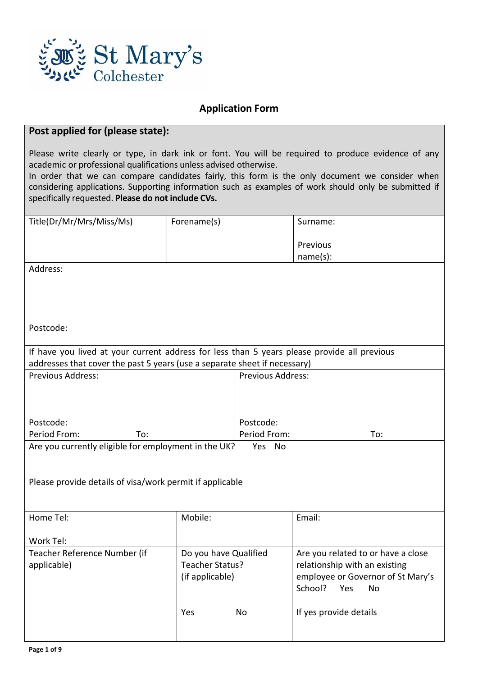

## **Application Form**

# **Post applied for (please state):**

Please write clearly or type, in dark ink or font. You will be required to produce evidence of any academic or professional qualifications unless advised otherwise.

In order that we can compare candidates fairly, this form is the only document we consider when considering applications. Supporting information such as examples of work should only be submitted if specifically requested. **Please do not include CVs.**

| Title(Dr/Mr/Mrs/Miss/Ms)                                                                    | Forename(s)           |                          | Surname:                           |  |  |
|---------------------------------------------------------------------------------------------|-----------------------|--------------------------|------------------------------------|--|--|
|                                                                                             |                       |                          |                                    |  |  |
|                                                                                             |                       |                          | Previous                           |  |  |
|                                                                                             |                       |                          | name(s):                           |  |  |
| Address:                                                                                    |                       |                          |                                    |  |  |
|                                                                                             |                       |                          |                                    |  |  |
|                                                                                             |                       |                          |                                    |  |  |
|                                                                                             |                       |                          |                                    |  |  |
| Postcode:                                                                                   |                       |                          |                                    |  |  |
|                                                                                             |                       |                          |                                    |  |  |
| If have you lived at your current address for less than 5 years please provide all previous |                       |                          |                                    |  |  |
| addresses that cover the past 5 years (use a separate sheet if necessary)                   |                       |                          |                                    |  |  |
| <b>Previous Address:</b>                                                                    |                       | <b>Previous Address:</b> |                                    |  |  |
|                                                                                             |                       |                          |                                    |  |  |
|                                                                                             |                       |                          |                                    |  |  |
|                                                                                             |                       |                          |                                    |  |  |
| Postcode:                                                                                   |                       | Postcode:                |                                    |  |  |
| Period From:<br>To:                                                                         |                       | Period From:             | To:                                |  |  |
| Are you currently eligible for employment in the UK?<br>Yes No                              |                       |                          |                                    |  |  |
|                                                                                             |                       |                          |                                    |  |  |
|                                                                                             |                       |                          |                                    |  |  |
| Please provide details of visa/work permit if applicable                                    |                       |                          |                                    |  |  |
|                                                                                             |                       |                          |                                    |  |  |
| Home Tel:                                                                                   | Mobile:               |                          | Email:                             |  |  |
|                                                                                             |                       |                          |                                    |  |  |
| Work Tel:                                                                                   |                       |                          |                                    |  |  |
| Teacher Reference Number (if                                                                | Do you have Qualified |                          | Are you related to or have a close |  |  |
| applicable)                                                                                 | Teacher Status?       |                          | relationship with an existing      |  |  |
|                                                                                             | (if applicable)       |                          | employee or Governor of St Mary's  |  |  |
|                                                                                             |                       |                          | School?<br>Yes<br>No               |  |  |
|                                                                                             |                       |                          |                                    |  |  |
|                                                                                             | Yes                   | No                       | If yes provide details             |  |  |
|                                                                                             |                       |                          |                                    |  |  |
|                                                                                             |                       |                          |                                    |  |  |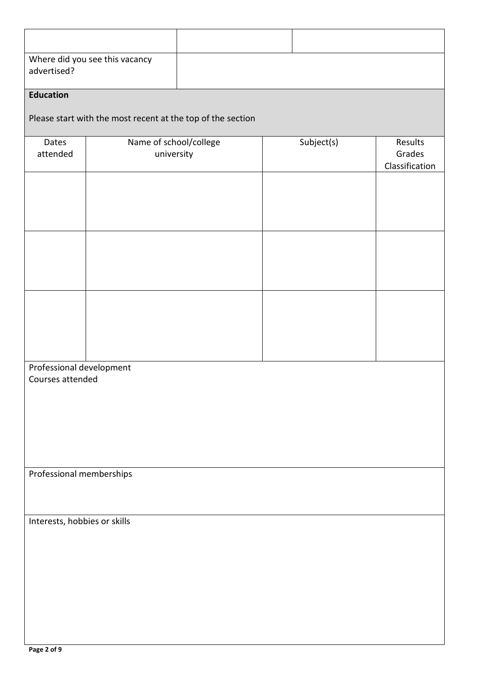| advertised?                                  | Where did you see this vacancy                              |  |            |                                     |  |
|----------------------------------------------|-------------------------------------------------------------|--|------------|-------------------------------------|--|
| <b>Education</b>                             |                                                             |  |            |                                     |  |
|                                              | Please start with the most recent at the top of the section |  |            |                                     |  |
| Dates<br>attended                            | Name of school/college<br>university                        |  | Subject(s) | Results<br>Grades<br>Classification |  |
|                                              |                                                             |  |            |                                     |  |
|                                              |                                                             |  |            |                                     |  |
|                                              |                                                             |  |            |                                     |  |
| Professional development<br>Courses attended |                                                             |  |            |                                     |  |
| Professional memberships                     |                                                             |  |            |                                     |  |
| Interests, hobbies or skills                 |                                                             |  |            |                                     |  |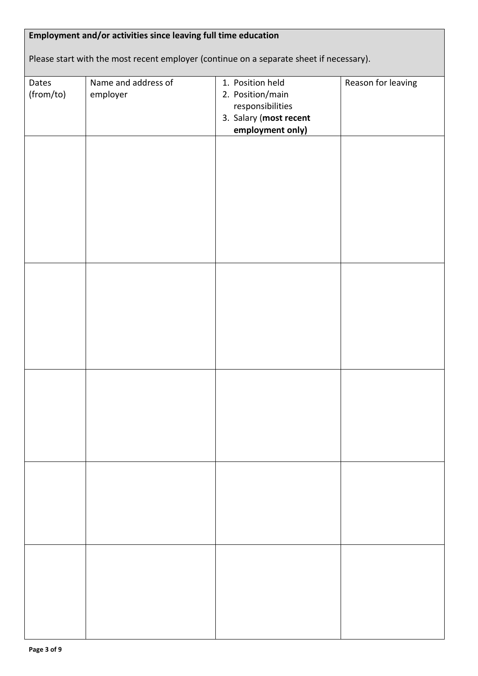| Dates<br>(from/to) | Name and address of<br>employer | 1. Position held<br>2. Position/main<br>responsibilities<br>3. Salary (most recent<br>employment only) | Reason for leaving |
|--------------------|---------------------------------|--------------------------------------------------------------------------------------------------------|--------------------|
|                    |                                 |                                                                                                        |                    |
|                    |                                 |                                                                                                        |                    |
|                    |                                 |                                                                                                        |                    |
|                    |                                 |                                                                                                        |                    |
|                    |                                 |                                                                                                        |                    |
|                    |                                 |                                                                                                        |                    |
|                    |                                 |                                                                                                        |                    |
|                    |                                 |                                                                                                        |                    |
|                    |                                 |                                                                                                        |                    |
|                    |                                 |                                                                                                        |                    |
|                    |                                 |                                                                                                        |                    |
|                    |                                 |                                                                                                        |                    |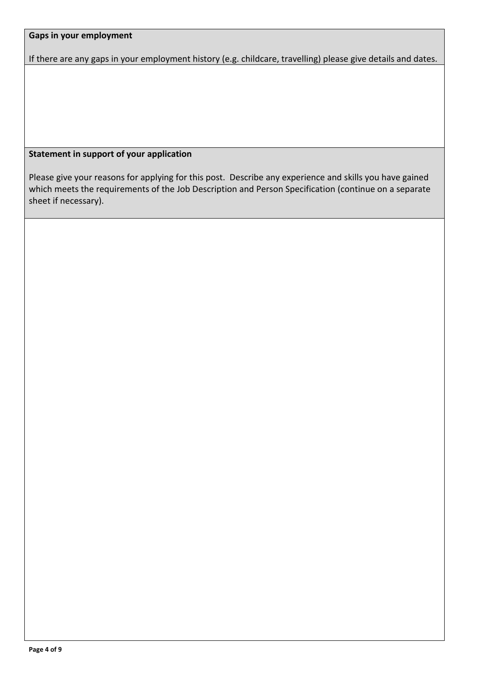## **Gaps in your employment**

If there are any gaps in your employment history (e.g. childcare, travelling) please give details and dates.

# **Statement in support of your application**

Please give your reasons for applying for this post. Describe any experience and skills you have gained which meets the requirements of the Job Description and Person Specification (continue on a separate sheet if necessary).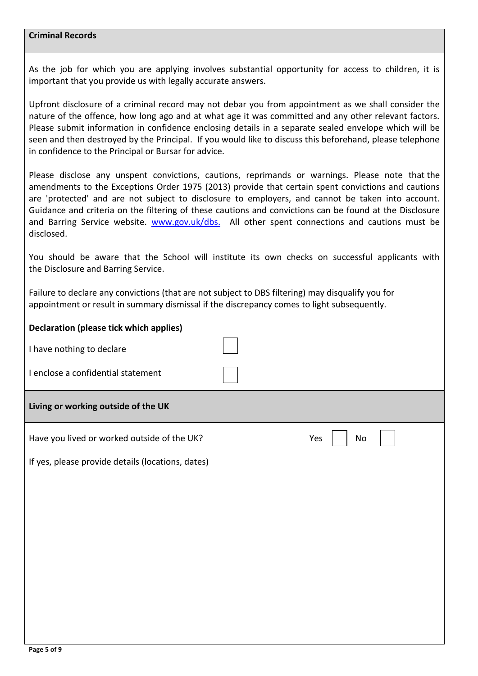## **Criminal Records**

As the job for which you are applying involves substantial opportunity for access to children, it is important that you provide us with legally accurate answers.

Upfront disclosure of a criminal record may not debar you from appointment as we shall consider the nature of the offence, how long ago and at what age it was committed and any other relevant factors. Please submit information in confidence enclosing details in a separate sealed envelope which will be seen and then destroyed by the Principal. If you would like to discuss this beforehand, please telephone in confidence to the Principal or Bursar for advice.

Please disclose any unspent convictions, cautions, reprimands or warnings. Please note that the amendments to the Exceptions Order 1975 (2013) provide that certain spent convictions and cautions are 'protected' and are not subject to disclosure to employers, and cannot be taken into account. Guidance and criteria on the filtering of these cautions and convictions can be found at the Disclosure and Barring Service website. [www.gov.uk/dbs.](http://www.gov.uk/dbs) All other spent connections and cautions must be disclosed.

You should be aware that the School will institute its own checks on successful applicants with the Disclosure and Barring Service.

Failure to declare any convictions (that are not subject to DBS filtering) may disqualify you for appointment or result in summary dismissal if the discrepancy comes to light subsequently.

| <b>Declaration (please tick which applies)</b>    |           |
|---------------------------------------------------|-----------|
| I have nothing to declare                         |           |
| I enclose a confidential statement                |           |
| Living or working outside of the UK               |           |
| Have you lived or worked outside of the UK?       | Yes<br>No |
| If yes, please provide details (locations, dates) |           |
|                                                   |           |
|                                                   |           |
|                                                   |           |
|                                                   |           |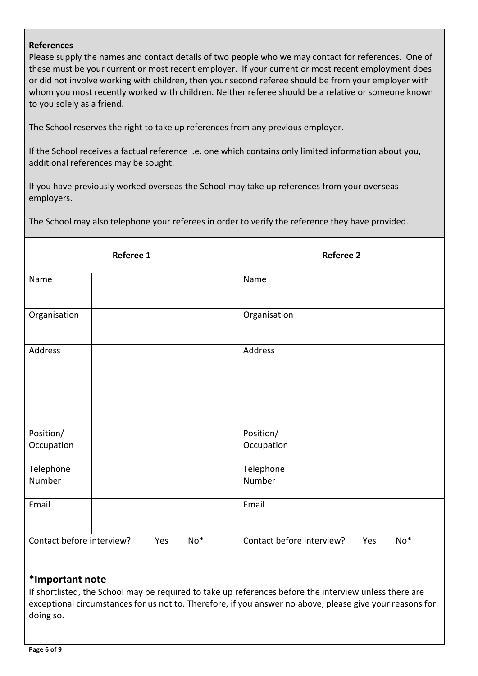### **References**

Please supply the names and contact details of two people who we may contact for references. One of these must be your current or most recent employer. If your current or most recent employment does or did not involve working with children, then your second referee should be from your employer with whom you most recently worked with children. Neither referee should be a relative or someone known to you solely as a friend.

The School reserves the right to take up references from any previous employer.

If the School receives a factual reference i.e. one which contains only limited information about you, additional references may be sought.

If you have previously worked overseas the School may take up references from your overseas employers.

The School may also telephone your referees in order to verify the reference they have provided.

| Referee 1                                 |  | <b>Referee 2</b>                          |  |  |
|-------------------------------------------|--|-------------------------------------------|--|--|
| Name                                      |  | Name                                      |  |  |
| Organisation                              |  | Organisation                              |  |  |
| Address                                   |  | Address                                   |  |  |
| Position/<br>Occupation                   |  | Position/<br>Occupation                   |  |  |
| Telephone<br>Number                       |  | Telephone<br>Number                       |  |  |
| Email                                     |  | Email                                     |  |  |
| Contact before interview?<br>$No*$<br>Yes |  | Contact before interview?<br>$No*$<br>Yes |  |  |

## **\*Important note**

If shortlisted, the School may be required to take up references before the interview unless there are exceptional circumstances for us not to. Therefore, if you answer no above, please give your reasons for doing so.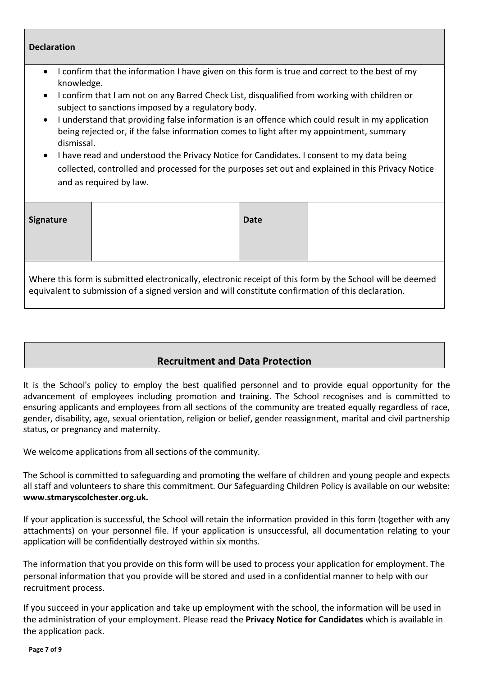| <b>Declaration</b>                                                                                                                                                                                                                                                                                                                                                                                                                                                                                                                                                                                                                                                                                                                                |  |             |  |
|---------------------------------------------------------------------------------------------------------------------------------------------------------------------------------------------------------------------------------------------------------------------------------------------------------------------------------------------------------------------------------------------------------------------------------------------------------------------------------------------------------------------------------------------------------------------------------------------------------------------------------------------------------------------------------------------------------------------------------------------------|--|-------------|--|
| confirm that the information I have given on this form is true and correct to the best of my<br>$\bullet$<br>knowledge.<br>I confirm that I am not on any Barred Check List, disqualified from working with children or<br>$\bullet$<br>subject to sanctions imposed by a regulatory body.<br>I understand that providing false information is an offence which could result in my application<br>$\bullet$<br>being rejected or, if the false information comes to light after my appointment, summary<br>dismissal.<br>I have read and understood the Privacy Notice for Candidates. I consent to my data being<br>collected, controlled and processed for the purposes set out and explained in this Privacy Notice<br>and as required by law. |  |             |  |
| <b>Signature</b>                                                                                                                                                                                                                                                                                                                                                                                                                                                                                                                                                                                                                                                                                                                                  |  | <b>Date</b> |  |
| Where this form is submitted electronically, electronic receipt of this form by the School will be deemed<br>equivalent to submission of a signed version and will constitute confirmation of this declaration.                                                                                                                                                                                                                                                                                                                                                                                                                                                                                                                                   |  |             |  |

# **Recruitment and Data Protection**

It is the School's policy to employ the best qualified personnel and to provide equal opportunity for the advancement of employees including promotion and training. The School recognises and is committed to ensuring applicants and employees from all sections of the community are treated equally regardless of race, gender, disability, age, sexual orientation, religion or belief, gender reassignment, marital and civil partnership status, or pregnancy and maternity.

We welcome applications from all sections of the community.

The School is committed to safeguarding and promoting the welfare of children and young people and expects all staff and volunteers to share this commitment. Our Safeguarding Children Policy is available on our website: **www.stmaryscolchester.org.uk.**

If your application is successful, the School will retain the information provided in this form (together with any attachments) on your personnel file. If your application is unsuccessful, all documentation relating to your application will be confidentially destroyed within six months.

The information that you provide on this form will be used to process your application for employment. The personal information that you provide will be stored and used in a confidential manner to help with our recruitment process.

If you succeed in your application and take up employment with the school, the information will be used in the administration of your employment. Please read the **Privacy Notice for Candidates** which is available in the application pack.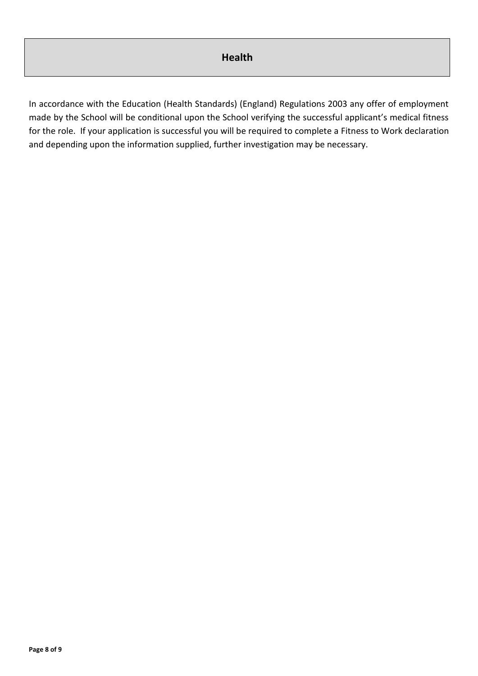In accordance with the Education (Health Standards) (England) Regulations 2003 any offer of employment made by the School will be conditional upon the School verifying the successful applicant's medical fitness for the role. If your application is successful you will be required to complete a Fitness to Work declaration and depending upon the information supplied, further investigation may be necessary.